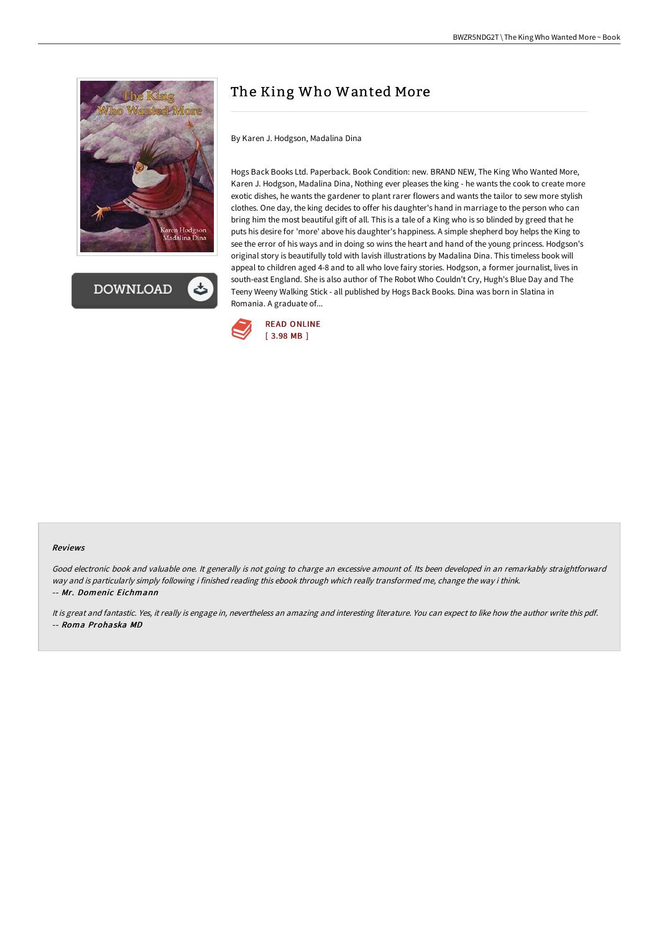



# The King Who Wanted More

By Karen J. Hodgson, Madalina Dina

Hogs Back Books Ltd. Paperback. Book Condition: new. BRAND NEW, The King Who Wanted More, Karen J. Hodgson, Madalina Dina, Nothing ever pleases the king - he wants the cook to create more exotic dishes, he wants the gardener to plant rarer flowers and wants the tailor to sew more stylish clothes. One day, the king decides to offer his daughter's hand in marriage to the person who can bring him the most beautiful gift of all. This is a tale of a King who is so blinded by greed that he puts his desire for 'more' above his daughter's happiness. A simple shepherd boy helps the King to see the error of his ways and in doing so wins the heart and hand of the young princess. Hodgson's original story is beautifully told with lavish illustrations by Madalina Dina. This timeless book will appeal to children aged 4-8 and to all who love fairy stories. Hodgson, a former journalist, lives in south-east England. She is also author of The Robot Who Couldn't Cry, Hugh's Blue Day and The Teeny Weeny Walking Stick - all published by Hogs Back Books. Dina was born in Slatina in Romania. A graduate of...



#### Reviews

Good electronic book and valuable one. It generally is not going to charge an excessive amount of. Its been developed in an remarkably straightforward way and is particularly simply following i finished reading this ebook through which really transformed me, change the way i think. -- Mr. Domenic Eichmann

It is great and fantastic. Yes, it really is engage in, nevertheless an amazing and interesting literature. You can expect to like how the author write this pdf. -- Roma Prohaska MD